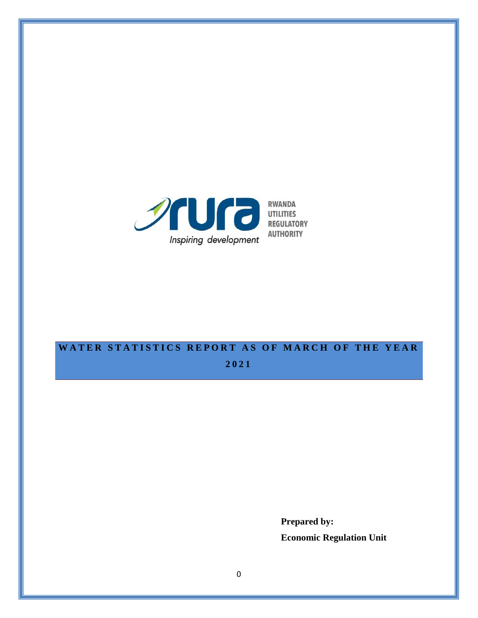

# WATER STATISTICS REPORT AS OF MARCH OF THE YEAR

**2021**

**Prepared by: Economic Regulation Unit**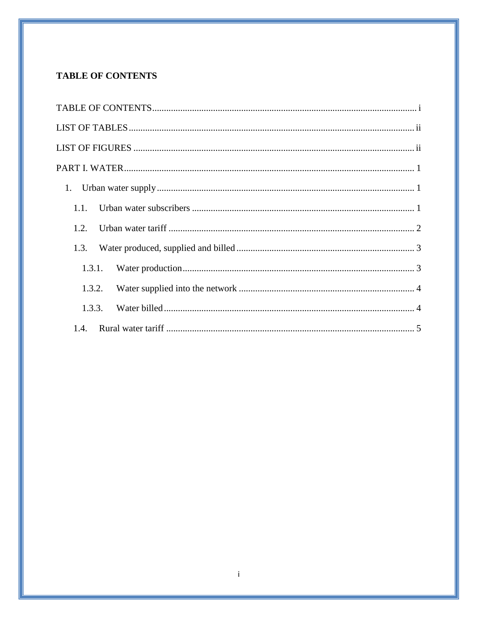# <span id="page-1-0"></span>**TABLE OF CONTENTS**

| 1.1.   |  |
|--------|--|
| 1.2.   |  |
| 1.3.   |  |
| 1.3.1. |  |
| 1.3.2. |  |
| 1.3.3. |  |
| 1.4.   |  |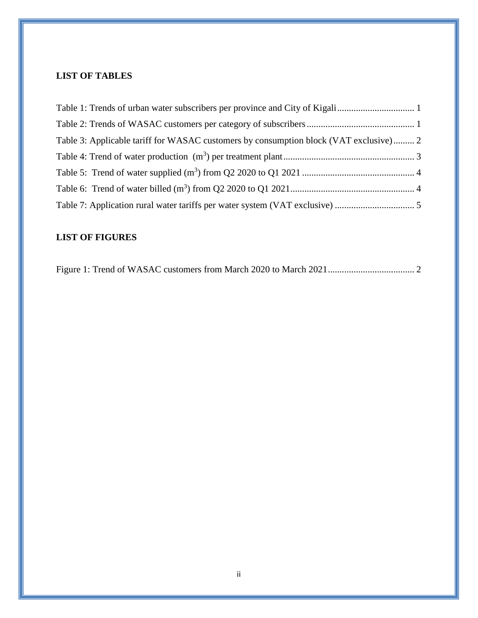# <span id="page-2-0"></span>**LIST OF TABLES**

| Table 3: Applicable tariff for WASAC customers by consumption block (VAT exclusive) 2 |  |
|---------------------------------------------------------------------------------------|--|
|                                                                                       |  |
|                                                                                       |  |
|                                                                                       |  |
|                                                                                       |  |

# <span id="page-2-1"></span>**LIST OF FIGURES**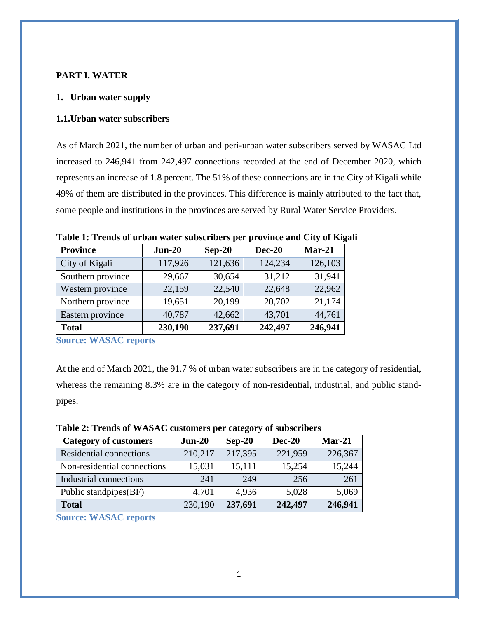#### <span id="page-3-0"></span>**PART I. WATER**

#### <span id="page-3-1"></span>**1. Urban water supply**

#### <span id="page-3-2"></span>**1.1.Urban water subscribers**

As of March 2021, the number of urban and peri-urban water subscribers served by WASAC Ltd increased to 246,941 from 242,497 connections recorded at the end of December 2020, which represents an increase of 1.8 percent. The 51% of these connections are in the City of Kigali while 49% of them are distributed in the provinces. This difference is mainly attributed to the fact that, some people and institutions in the provinces are served by Rural Water Service Providers.

| <b>Province</b>   | $Jun-20$ | $Sep-20$ | <b>Dec-20</b> | $Mar-21$ |
|-------------------|----------|----------|---------------|----------|
| City of Kigali    | 117,926  | 121,636  | 124,234       | 126,103  |
| Southern province | 29,667   | 30,654   | 31,212        | 31,941   |
| Western province  | 22,159   | 22,540   | 22,648        | 22,962   |
| Northern province | 19,651   | 20,199   | 20,702        | 21,174   |
| Eastern province  | 40,787   | 42,662   | 43,701        | 44,761   |
| <b>Total</b>      | 230,190  | 237,691  | 242,497       | 246,941  |

<span id="page-3-3"></span>**Table 1: Trends of urban water subscribers per province and City of Kigali** 

**Source: WASAC reports**

At the end of March 2021, the 91.7 % of urban water subscribers are in the category of residential, whereas the remaining 8.3% are in the category of non-residential, industrial, and public standpipes.

<span id="page-3-4"></span>

| Table 2: Trends of WASAC customers per category of subscribers |  |  |  |  |  |  |  |  |  |  |  |  |  |  |  |
|----------------------------------------------------------------|--|--|--|--|--|--|--|--|--|--|--|--|--|--|--|
|----------------------------------------------------------------|--|--|--|--|--|--|--|--|--|--|--|--|--|--|--|

| <b>Category of customers</b>   | $Jun-20$ | $Sep-20$ | <b>Dec-20</b> | $Mar-21$ |
|--------------------------------|----------|----------|---------------|----------|
| <b>Residential connections</b> | 210,217  | 217,395  | 221,959       | 226,367  |
| Non-residential connections    | 15,031   | 15,111   | 15,254        | 15,244   |
| Industrial connections         | 241      | 249      | 256           | 261      |
| Public standpipes(BF)          | 4,701    | 4,936    | 5,028         | 5,069    |
| <b>Total</b>                   | 230,190  | 237,691  | 242,497       | 246,941  |

**Source: WASAC reports**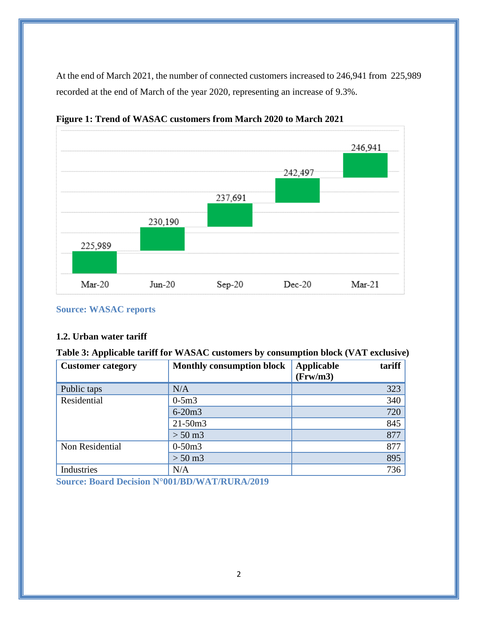At the end of March 2021, the number of connected customers increased to 246,941 from 225,989 recorded at the end of March of the year 2020, representing an increase of 9.3%.



<span id="page-4-2"></span>**Figure 1: Trend of WASAC customers from March 2020 to March 2021**

#### **Source: WASAC reports**

## <span id="page-4-0"></span>**1.2. Urban water tariff**

| <b>Customer category</b> | <b>Monthly consumption block</b> | <b>Applicable</b><br>tariff<br>(Frw/m3) |
|--------------------------|----------------------------------|-----------------------------------------|
| Public taps              | N/A                              | 323                                     |
| Residential              | $0-5m3$                          | 340                                     |
|                          | $6 - 20m3$                       | 720                                     |
|                          | $21 - 50m3$                      | 845                                     |
|                          | $> 50 \,\mathrm{m}$ 3            | 877                                     |
| Non Residential          | $0-50m3$                         | 877                                     |
|                          | $> 50 \,\mathrm{m}$ 3            | 895                                     |
| Industries               | N/A                              | 736                                     |

<span id="page-4-1"></span>**Table 3: Applicable tariff for WASAC customers by consumption block (VAT exclusive)**

**Source: Board [Decision N°001/BD/WAT/RURA/2019](https://www.rura.rw/fileadmin/Documents/Water/Board%20Decisions/Board_Decision_For_Urban_Water_End_User_tariffs.pdf)**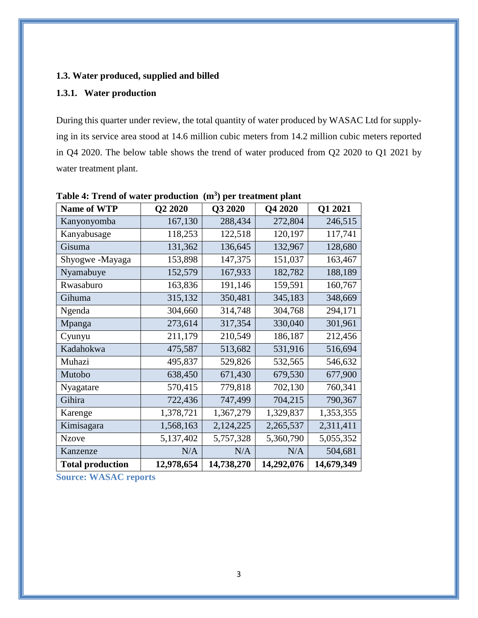## <span id="page-5-0"></span>**1.3. Water produced, supplied and billed**

## <span id="page-5-1"></span>**1.3.1. Water production**

During this quarter under review, the total quantity of water produced by WASAC Ltd for supplying in its service area stood at 14.6 million cubic meters from 14.2 million cubic meters reported in Q4 2020. The below table shows the trend of water produced from Q2 2020 to Q1 2021 by water treatment plant.

| <b>Name of WTP</b>      | Q2 2020    | Q3 2020    | Q4 2020    | Q1 2021    |
|-------------------------|------------|------------|------------|------------|
| Kanyonyomba             | 167,130    | 288,434    | 272,804    | 246,515    |
| Kanyabusage             | 118,253    | 122,518    | 120,197    | 117,741    |
| Gisuma                  | 131,362    | 136,645    | 132,967    | 128,680    |
| Shyogwe-Mayaga          | 153,898    | 147,375    | 151,037    | 163,467    |
| Nyamabuye               | 152,579    | 167,933    | 182,782    | 188,189    |
| Rwasaburo               | 163,836    | 191,146    | 159,591    | 160,767    |
| Gihuma                  | 315,132    | 350,481    | 345,183    | 348,669    |
| Ngenda                  | 304,660    | 314,748    | 304,768    | 294,171    |
| Mpanga                  | 273,614    | 317,354    | 330,040    | 301,961    |
| Cyunyu                  | 211,179    | 210,549    | 186,187    | 212,456    |
| Kadahokwa               | 475,587    | 513,682    | 531,916    | 516,694    |
| Muhazi                  | 495,837    | 529,826    | 532,565    | 546,632    |
| Mutobo                  | 638,450    | 671,430    | 679,530    | 677,900    |
| Nyagatare               | 570,415    | 779,818    | 702,130    | 760,341    |
| Gihira                  | 722,436    | 747,499    | 704,215    | 790,367    |
| Karenge                 | 1,378,721  | 1,367,279  | 1,329,837  | 1,353,355  |
| Kimisagara              | 1,568,163  | 2,124,225  | 2,265,537  | 2,311,411  |
| <b>Nzove</b>            | 5,137,402  | 5,757,328  | 5,360,790  | 5,055,352  |
| Kanzenze                | N/A        | N/A        | N/A        | 504,681    |
| <b>Total production</b> | 12,978,654 | 14,738,270 | 14,292,076 | 14,679,349 |

<span id="page-5-2"></span>**Table 4: Trend of water production (m<sup>3</sup> ) per treatment plant**

**Source: WASAC reports**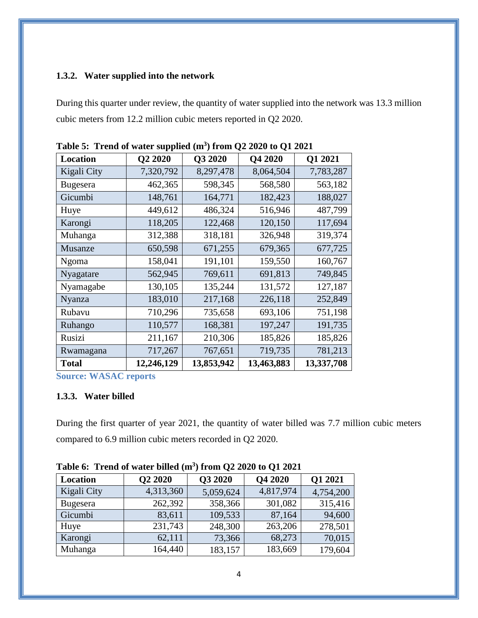# <span id="page-6-0"></span>**1.3.2. Water supplied into the network**

During this quarter under review, the quantity of water supplied into the network was 13.3 million cubic meters from 12.2 million cubic meters reported in Q2 2020.

| <b>Location</b> | Q2 2020    | Q3 2020    | Q4 2020    | Q1 2021    |
|-----------------|------------|------------|------------|------------|
| Kigali City     | 7,320,792  | 8,297,478  | 8,064,504  | 7,783,287  |
| <b>Bugesera</b> | 462,365    | 598,345    | 568,580    | 563,182    |
| Gicumbi         | 148,761    | 164,771    | 182,423    | 188,027    |
| Huye            | 449,612    | 486,324    | 516,946    | 487,799    |
| Karongi         | 118,205    | 122,468    | 120,150    | 117,694    |
| Muhanga         | 312,388    | 318,181    | 326,948    | 319,374    |
| Musanze         | 650,598    | 671,255    | 679,365    | 677,725    |
| Ngoma           | 158,041    | 191,101    | 159,550    | 160,767    |
| Nyagatare       | 562,945    | 769,611    | 691,813    | 749,845    |
| Nyamagabe       | 130,105    | 135,244    | 131,572    | 127,187    |
| Nyanza          | 183,010    | 217,168    | 226,118    | 252,849    |
| Rubavu          | 710,296    | 735,658    | 693,106    | 751,198    |
| Ruhango         | 110,577    | 168,381    | 197,247    | 191,735    |
| Rusizi          | 211,167    | 210,306    | 185,826    | 185,826    |
| Rwamagana       | 717,267    | 767,651    | 719,735    | 781,213    |
| <b>Total</b>    | 12,246,129 | 13,853,942 | 13,463,883 | 13,337,708 |

<span id="page-6-2"></span>**Table 5: Trend of water supplied (m<sup>3</sup> ) from Q2 2020 to Q1 2021**

**Source: WASAC reports**

## <span id="page-6-1"></span>**1.3.3. Water billed**

During the first quarter of year 2021, the quantity of water billed was 7.7 million cubic meters compared to 6.9 million cubic meters recorded in Q2 2020.

| Location    | Q2 2020   | Q3 2020   | Q4 2020   | <b>Q1 2021</b> |  |  |  |
|-------------|-----------|-----------|-----------|----------------|--|--|--|
| Kigali City | 4,313,360 | 5,059,624 | 4,817,974 | 4,754,200      |  |  |  |
| Bugesera    | 262,392   | 358,366   | 301,082   | 315,416        |  |  |  |
| Gicumbi     | 83,611    | 109,533   | 87,164    | 94,600         |  |  |  |
| Huye        | 231,743   | 248,300   | 263,206   | 278,501        |  |  |  |
| Karongi     | 62,111    | 73,366    | 68,273    | 70,015         |  |  |  |
| Muhanga     | 164,440   | 183,157   | 183,669   | 179,604        |  |  |  |

<span id="page-6-3"></span>**Table 6: Trend of water billed (m<sup>3</sup> ) from Q2 2020 to Q1 2021**